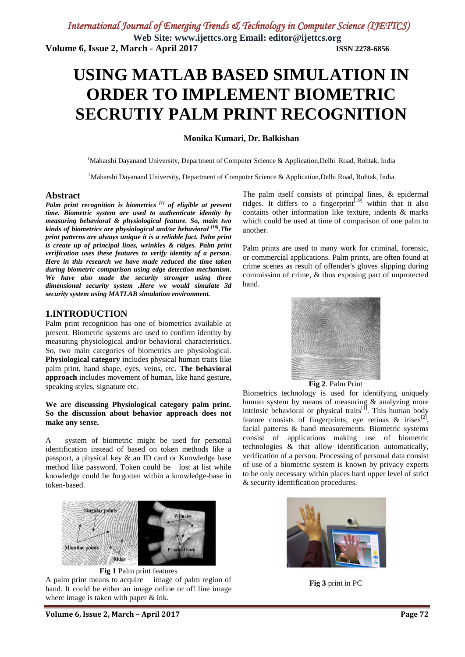## **USING MATLAB BASED SIMULATION IN ORDER TO IMPLEMENT BIOMETRIC SECRUTIY PALM PRINT RECOGNITION**

#### **Monika Kumari, Dr. Balkishan**

<sup>1</sup>Maharshi Dayanand University, Department of Computer Science & Application,Delhi Road, Rohtak, India

<sup>2</sup>Maharshi Dayanand University, Department of Computer Science & Application,Delhi Road, Rohtak, India

#### **Abstract**

*Palm print recognition is biometrics [1] of eligible at present time. Biometric system are used to authenticate identity by measuring behavioral & physiological feature. So, main two kinds of biometrics are physiological and/or behavioral [16].The print patterns are always unique it is a reliable fact. Palm print is create up of principal lines, wrinkles & ridges. Palm print verification uses these features to verify identity of a person. Here in this research we have made reduced the time taken during biometric comparison using edge detection mechanism. We have also made the security stronger using three dimensional security system .Here we would simulate 3d security system using MATLAB simulation environment.*

#### **1.INTRODUCTION**

Palm print recognition has one of biometrics available at present. Biometric systems are used to confirm identity by measuring physiological and/or behavioral characteristics. So, two main categories of biometrics are physiological. **Physiological category** includes physical human traits like palm print, hand shape, eyes, veins, etc. **The behavioral approach** includes movement of human, like hand gesture, speaking styles, signature etc.

#### **We are discussing Physiological category palm print. So the discussion about behavior approach does not make any sense.**

A system of biometric might be used for personal identification instead of based on token methods like a passport, a physical key & an ID card or Knowledge base method like password. Token could be lost at list while knowledge could be forgotten within a knowledge-base in token-based.



**Fig 1** Palm print features

A palm print means to acquire image of palm region of hand. It could be either an image online or off line image where image is taken with paper & ink.

The palm itself consists of principal lines, & epidermal ridges. It differs to a fingerprint<sup>[19]</sup> within that it also contains other information like texture, indents & marks which could be used at time of comparison of one palm to another.

Palm prints are used to many work for criminal, forensic, or commercial applications. Palm prints, are often found at crime scenes as result of offender's gloves slipping during commission of crime, & thus exposing part of unprotected hand.



#### **Fig 2**. Palm Print

Biometrics technology is used for identifying uniquely human system by means of measuring & analyzing more intrinsic behavioral or physical traits<sup>[1]</sup>. This human body feature consists of fingerprints, eye retinas  $\&$  irises<sup>[2]</sup>, facial patterns & hand measurements. Biometric systems consist of applications making use of biometric technologies & that allow identification automatically, verification of a person. Processing of personal data consist of use of a biometric system is known by privacy experts to be only necessary within places hard upper level of strict & security identification procedures.



**Fig 3** print in PC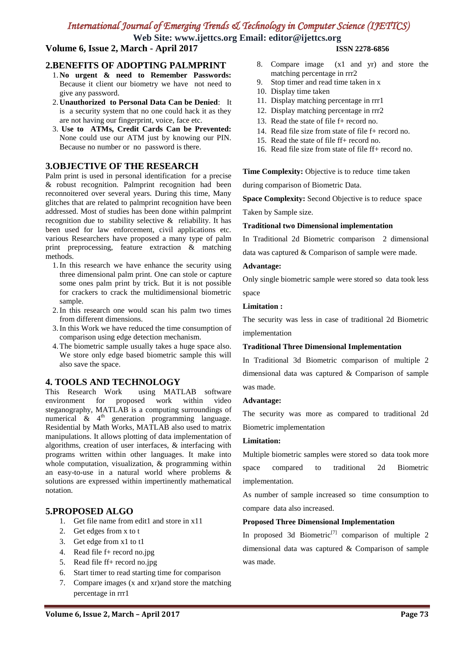**Web Site: www.ijettcs.org Email: editor@ijettcs.org**

**Volume 6, Issue 2, March - April 2017 ISSN 2278-6856**

#### **2.BENEFITS OF ADOPTING PALMPRINT**

- 1. **No urgent & need to Remember Passwords:** Because it client our biometry we have not need to give any password.
- 2. **Unauthorized to Personal Data Can be Denied**: It is a security system that no one could hack it as they are not having our fingerprint, voice, face etc.
- 3. **Use to ATMs, Credit Cards Can be Prevented:** None could use our ATM just by knowing our PIN. Because no number or no password is there.

#### **3.OBJECTIVE OF THE RESEARCH**

Palm print is used in personal identification for a precise & robust recognition. Palmprint recognition had been reconnoitered over several years. During this time, Many glitches that are related to palmprint recognition have been addressed. Most of studies has been done within palmprint recognition due to stability selective & reliability. It has been used for law enforcement, civil applications etc. various Researchers have proposed a many type of palm print preprocessing, feature extraction & matching methods.

- 1.In this research we have enhance the security using three dimensional palm print. One can stole or capture some ones palm print by trick. But it is not possible for crackers to crack the multidimensional biometric sample.
- 2.In this research one would scan his palm two times from different dimensions.
- 3.In this Work we have reduced the time consumption of comparison using edge detection mechanism.
- 4.The biometric sample usually takes a huge space also. We store only edge based biometric sample this will also save the space.

#### **4. TOOLS AND TECHNOLOGY**

This Research Work using MATLAB software environment for proposed work within video steganography, MATLAB is a computing surroundings of numerical  $\&$  4<sup>th</sup> generation programming language. Residential by Math Works, MATLAB also used to matrix manipulations. It allows plotting of data implementation of algorithms, creation of user interfaces, & interfacing with programs written within other languages. It make into whole computation, visualization, & programming within an easy-to-use in a natural world where problems & solutions are expressed within impertinently mathematical notation.

#### **5.PROPOSED ALGO**

- 1. Get file name from edit1 and store in x11
- 2. Get edges from x to t
- 3. Get edge from x1 to t1
- 4. Read file f+ record no.jpg
- 5. Read file ff+ record no.jpg
- 6. Start timer to read starting time for comparison
- 7. Compare images (x and xr)and store the matching percentage in rrr1

- 8. Compare image (x1 and yr) and store the matching percentage in rrr2
- 9. Stop timer and read time taken in x
- 10. Display time taken
- 11. Display matching percentage in rrr1
- 12. Display matching percentage in rrr2
- 13. Read the state of file f+ record no.
- 14. Read file size from state of file f+ record no.
- 15. Read the state of file ff+ record no.
- 16. Read file size from state of file ff+ record no.

**Time Complexity:** Objective is to reduce time taken

during comparison of Biometric Data.

**Space Complexity:** Second Objective is to reduce space

Taken by Sample size.

#### **Traditional two Dimensional implementation**

In Traditional 2d Biometric comparison 2 dimensional data was captured & Comparison of sample were made.

#### **Advantage:**

Only single biometric sample were stored so data took less space

#### **Limitation :**

The security was less in case of traditional 2d Biometric implementation

#### **Traditional Three Dimensional Implementation**

In Traditional 3d Biometric comparison of multiple 2 dimensional data was captured & Comparison of sample was made.

#### **Advantage:**

The security was more as compared to traditional 2d Biometric implementation

#### **Limitation:**

Multiple biometric samples were stored so data took more space compared to traditional 2d Biometric implementation.

As number of sample increased so time consumption to compare data also increased.

#### **Proposed Three Dimensional Implementation**

In proposed 3d Biometric<sup>[7]</sup> comparison of multiple 2 dimensional data was captured & Comparison of sample was made.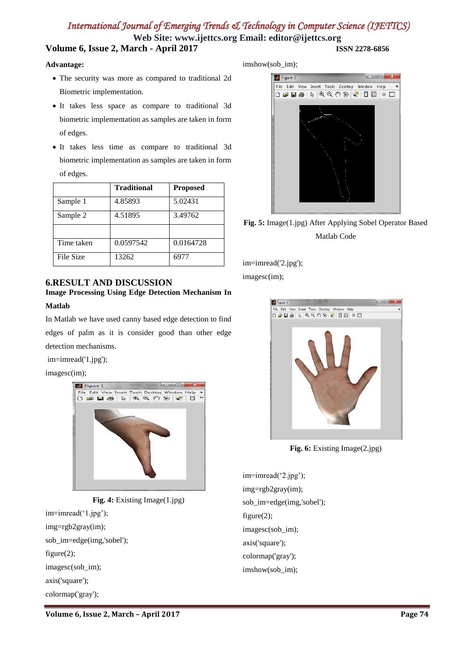**Web Site: www.ijettcs.org Email: editor@ijettcs.org Volume 6, Issue 2, March - April 2017 ISSN 2278-6856**

#### **Advantage:**

- The security was more as compared to traditional 2d Biometric implementation.
- It takes less space as compare to traditional 3d biometric implementation as samples are taken in form of edges.
- It takes less time as compare to traditional 3d biometric implementation as samples are taken in form of edges.

|            | <b>Traditional</b> | <b>Proposed</b> |
|------------|--------------------|-----------------|
| Sample 1   | 4.85893            | 5.02431         |
| Sample 2   | 4.51895            | 3.49762         |
|            |                    |                 |
| Time taken | 0.0597542          | 0.0164728       |
| File Size  | 13262              | 6977            |

#### **6.RESULT AND DISCUSSION**

## **Image Processing Using Edge Detection Mechanism In**

#### **Matlab**

In Matlab we have used canny based edge detection to find edges of palm as it is consider good than other edge detection mechanisms.

im=imread('1.jpg');

imagesc(im);



**Fig. 4:** Existing Image(1.jpg) im=imread('1.jpg'); img=rgb2gray(im); sob\_im=edge(img,'sobel'); figure(2); imagesc(sob\_im); axis('square'); colormap('gray');

imshow(sob\_im);



**Fig. 5:** Image(1.jpg) After Applying Sobel Operator Based Matlab Code

im=imread('2.jpg');

imagesc(im);



**Fig. 6:** Existing Image(2.jpg)

im=imread('2.jpg'); img=rgb2gray(im); sob\_im=edge(img,'sobel'); figure(2); imagesc(sob\_im); axis('square'); colormap('gray'); imshow(sob\_im);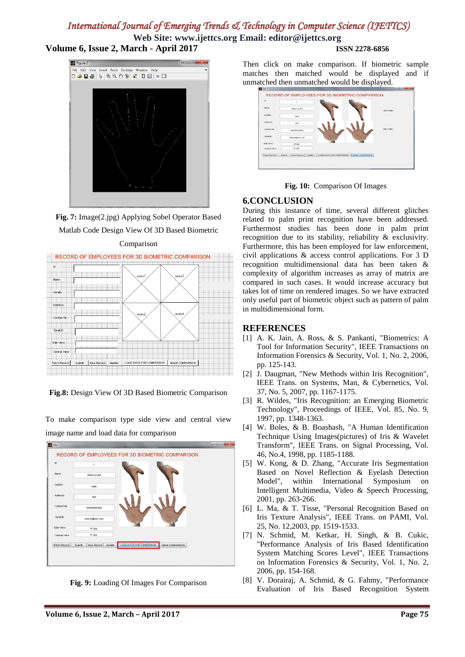**Web Site: www.ijettcs.org Email: editor@ijettcs.org Volume 6, Issue 2, March - April 2017 ISSN 2278-6856**

# **B** Figure 2 View Insert Tools Desktop **D<del>Ø</del>B** | ≷ | ୧ ୧ ୧ ୨ ୭ | ₹ | D | ■ | ■ | □

**Fig. 7:** Image(2.jpg) Applying Sobel Operator Based Matlab Code Design View Of 3D Based Biometric



**Fig.8:** Design View Of 3D Based Biometric Comparison

To make comparison type side view and central view image name and load data for comparison



**Fig. 9:** Loading Of Images For Comparison

Then click on make comparison. If biometric sample matches then matched would be displayed and if unmatched then unmatched would be displayed.





#### **6.CONCLUSION**

During this instance of time, several different glitches related to palm print recognition have been addressed. Furthermost studies has been done in palm print recognition due to its stability, reliability & exclusivity. Furthermore, this has been employed for law enforcement, civil applications & access control applications. For 3 D recognition multidimensional data has been taken & complexity of algorithm increases as array of matrix are compared in such cases. It would increase accuracy but takes lot of time on rendered images. So we have extracted only useful part of biometric object such as pattern of palm in multidimensional form.

#### **REFERENCES**

- [1] A. K. Jain, A. Ross, & S. Pankanti, "Biometrics: A Tool for Information Security", IEEE Transactions on Information Forensics & Security, Vol. 1, No. 2, 2006, pp. 125-143.
- [2] J. Daugman, "New Methods within Iris Recognition", IEEE Trans. on Systems, Man, & Cybernetics, Vol. 37, No. 5, 2007, pp. 1167-1175.
- [3] R. Wildes, "Iris Recognition: an Emerging Biometric Technology", Proceedings of IEEE, Vol. 85, No. 9, 1997, pp. 1348-1363.
- [4] W. Boles, & B. Boashash, "A Human Identification Technique Using Images(pictures) of Iris & Wavelet Transform", IEEE Trans. on Signal Processing, Vol. 46, No.4, 1998, pp. 1185-1188.
- [5] W. Kong, & D. Zhang, "Accurate Iris Segmentation Based on Novel Reflection & Eyelash Detection Model", within International Symposium on Intelligent Multimedia, Video & Speech Processing, 2001, pp. 263-266.
- [6] L. Ma, & T. Tisse, "Personal Recognition Based on Iris Texture Analysis", IEEE Trans. on PAMI, Vol. 25, No. 12,2003, pp. 1519-1533.
- [7] N. Schmid, M. Ketkar, H. Singh, & B. Cukic, "Performance Analysis of Iris Based Identification System Matching Scores Level", IEEE Transactions on Information Forensics & Security, Vol. 1, No. 2, 2006, pp. 154-168.
- [8] V. Dorairaj, A. Schmid, & G. Fahmy, "Performance Evaluation of Iris Based Recognition System

Comparison